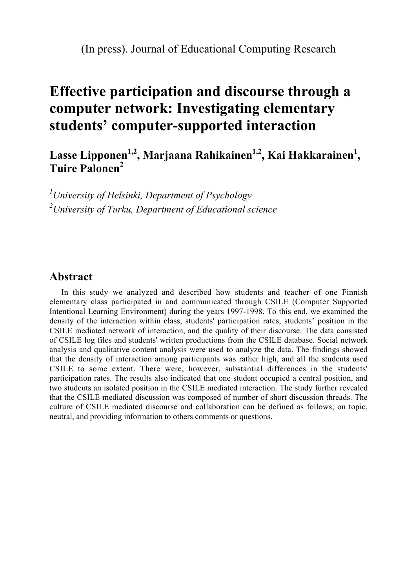# **Effective participation and discourse through a computer network: Investigating elementary students' computer-supported interaction**

 $\bf{L}$ asse Lipponen<sup>1,2</sup>, Marjaana Rahikainen<sup>1,2</sup>, Kai Hakkarainen<sup>1</sup>, **Tuire Palonen<sup>2</sup>**

*1 University of Helsinki, Department of Psychology 2 University of Turku, Department of Educational science*

# **Abstract**

In this study we analyzed and described how students and teacher of one Finnish elementary class participated in and communicated through CSILE (Computer Supported Intentional Learning Environment) during the years 1997-1998. To this end, we examined the density of the interaction within class, students' participation rates, students' position in the CSILE mediated network of interaction, and the quality of their discourse. The data consisted of CSILE log files and students' written productions from the CSILE database. Social network analysis and qualitative content analysis were used to analyze the data. The findings showed that the density of interaction among participants was rather high, and all the students used CSILE to some extent. There were, however, substantial differences in the students' participation rates. The results also indicated that one student occupied a central position, and two students an isolated position in the CSILE mediated interaction. The study further revealed that the CSILE mediated discussion was composed of number of short discussion threads. The culture of CSILE mediated discourse and collaboration can be defined as follows; on topic, neutral, and providing information to others comments or questions.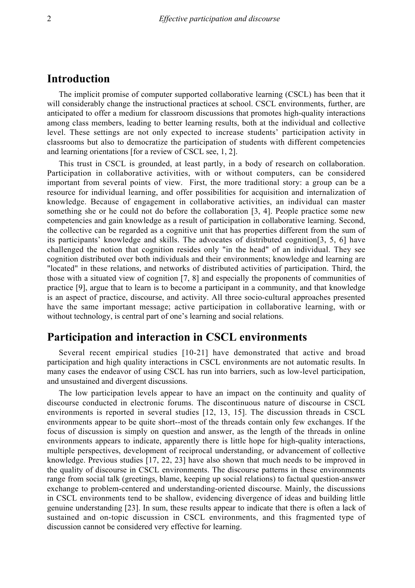# **Introduction**

The implicit promise of computer supported collaborative learning (CSCL) has been that it will considerably change the instructional practices at school. CSCL environments, further, are anticipated to offer a medium for classroom discussions that promotes high-quality interactions among class members, leading to better learning results, both at the individual and collective level. These settings are not only expected to increase students' participation activity in classrooms but also to democratize the participation of students with different competencies and learning orientations [for a review of CSCL see, 1, 2].

This trust in CSCL is grounded, at least partly, in a body of research on collaboration. Participation in collaborative activities, with or without computers, can be considered important from several points of view. First, the more traditional story: a group can be a resource for individual learning, and offer possibilities for acquisition and internalization of knowledge. Because of engagement in collaborative activities, an individual can master something she or he could not do before the collaboration [3, 4]. People practice some new competencies and gain knowledge as a result of participation in collaborative learning. Second, the collective can be regarded as a cognitive unit that has properties different from the sum of its participants' knowledge and skills. The advocates of distributed cognition[3, 5, 6] have challenged the notion that cognition resides only "in the head" of an individual. They see cognition distributed over both individuals and their environments; knowledge and learning are "located" in these relations, and networks of distributed activities of participation. Third, the those with a situated view of cognition [7, 8] and especially the proponents of communities of practice [9], argue that to learn is to become a participant in a community, and that knowledge is an aspect of practice, discourse, and activity. All three socio-cultural approaches presented have the same important message; active participation in collaborative learning, with or without technology, is central part of one's learning and social relations.

# **Participation and interaction in CSCL environments**

Several recent empirical studies [10-21] have demonstrated that active and broad participation and high quality interactions in CSCL environments are not automatic results. In many cases the endeavor of using CSCL has run into barriers, such as low-level participation, and unsustained and divergent discussions.

The low participation levels appear to have an impact on the continuity and quality of discourse conducted in electronic forums. The discontinuous nature of discourse in CSCL environments is reported in several studies [12, 13, 15]. The discussion threads in CSCL environments appear to be quite short--most of the threads contain only few exchanges. If the focus of discussion is simply on question and answer, as the length of the threads in online environments appears to indicate, apparently there is little hope for high-quality interactions, multiple perspectives, development of reciprocal understanding, or advancement of collective knowledge. Previous studies [17, 22, 23] have also shown that much needs to be improved in the quality of discourse in CSCL environments. The discourse patterns in these environments range from social talk (greetings, blame, keeping up social relations) to factual question-answer exchange to problem-centered and understanding-oriented discourse. Mainly, the discussions in CSCL environments tend to be shallow, evidencing divergence of ideas and building little genuine understanding [23]. In sum, these results appear to indicate that there is often a lack of sustained and on-topic discussion in CSCL environments, and this fragmented type of discussion cannot be considered very effective for learning.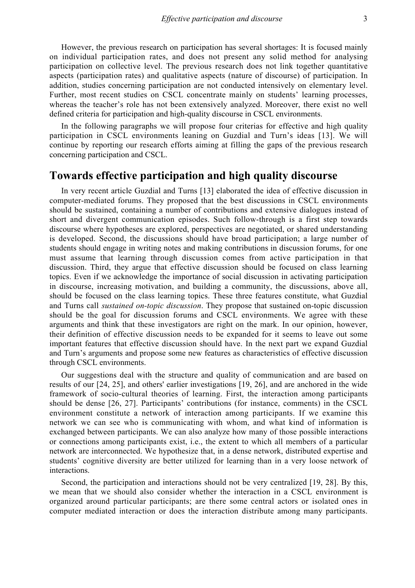However, the previous research on participation has several shortages: It is focused mainly on individual participation rates, and does not present any solid method for analysing participation on collective level. The previous research does not link together quantitative aspects (participation rates) and qualitative aspects (nature of discourse) of participation. In addition, studies concerning participation are not conducted intensively on elementary level. Further, most recent studies on CSCL concentrate mainly on students' learning processes, whereas the teacher's role has not been extensively analyzed. Moreover, there exist no well defined criteria for participation and high-quality discourse in CSCL environments.

In the following paragraphs we will propose four criterias for effective and high quality participation in CSCL environments leaning on Guzdial and Turn's ideas [13]. We will continue by reporting our research efforts aiming at filling the gaps of the previous research concerning participation and CSCL.

# **Towards effective participation and high quality discourse**

In very recent article Guzdial and Turns [13] elaborated the idea of effective discussion in computer-mediated forums. They proposed that the best discussions in CSCL environments should be sustained, containing a number of contributions and extensive dialogues instead of short and divergent communication episodes. Such follow-through is a first step towards discourse where hypotheses are explored, perspectives are negotiated, or shared understanding is developed. Second, the discussions should have broad participation; a large number of students should engage in writing notes and making contributions in discussion forums, for one must assume that learning through discussion comes from active participation in that discussion. Third, they argue that effective discussion should be focused on class learning topics. Even if we acknowledge the importance of social discussion in activating participation in discourse, increasing motivation, and building a community, the discussions, above all, should be focused on the class learning topics. These three features constitute, what Guzdial and Turns call *sustained on-topic discussion*. They propose that sustained on-topic discussion should be the goal for discussion forums and CSCL environments. We agree with these arguments and think that these investigators are right on the mark. In our opinion, however, their definition of effective discussion needs to be expanded for it seems to leave out some important features that effective discussion should have. In the next part we expand Guzdial and Turn's arguments and propose some new features as characteristics of effective discussion through CSCL environments.

Our suggestions deal with the structure and quality of communication and are based on results of our [24, 25], and others' earlier investigations [19, 26], and are anchored in the wide framework of socio-cultural theories of learning. First, the interaction among participants should be dense [26, 27]. Participants' contributions (for instance, comments) in the CSCL environment constitute a network of interaction among participants. If we examine this network we can see who is communicating with whom, and what kind of information is exchanged between participants. We can also analyze how many of those possible interactions or connections among participants exist, i.e., the extent to which all members of a particular network are interconnected. We hypothesize that, in a dense network, distributed expertise and students' cognitive diversity are better utilized for learning than in a very loose network of interactions.

Second, the participation and interactions should not be very centralized [19, 28]. By this, we mean that we should also consider whether the interaction in a CSCL environment is organized around particular participants; are there some central actors or isolated ones in computer mediated interaction or does the interaction distribute among many participants.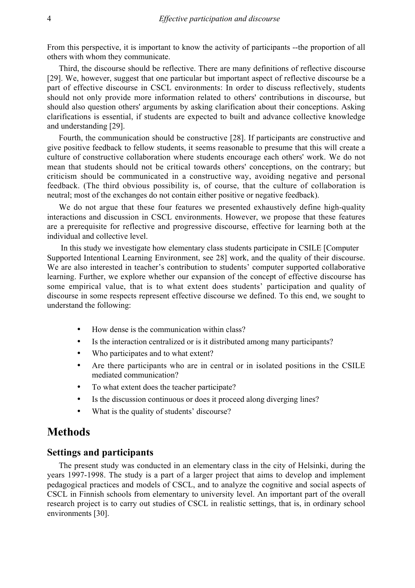From this perspective, it is important to know the activity of participants --the proportion of all others with whom they communicate.

Third, the discourse should be reflective. There are many definitions of reflective discourse [29]. We, however, suggest that one particular but important aspect of reflective discourse be a part of effective discourse in CSCL environments: In order to discuss reflectively, students should not only provide more information related to others' contributions in discourse, but should also question others' arguments by asking clarification about their conceptions. Asking clarifications is essential, if students are expected to built and advance collective knowledge and understanding [29].

Fourth, the communication should be constructive [28]. If participants are constructive and give positive feedback to fellow students, it seems reasonable to presume that this will create a culture of constructive collaboration where students encourage each others' work. We do not mean that students should not be critical towards others' conceptions, on the contrary; but criticism should be communicated in a constructive way, avoiding negative and personal feedback. (The third obvious possibility is, of course, that the culture of collaboration is neutral; most of the exchanges do not contain either positive or negative feedback).

We do not argue that these four features we presented exhaustively define high-quality interactions and discussion in CSCL environments. However, we propose that these features are a prerequisite for reflective and progressive discourse, effective for learning both at the individual and collective level.

 In this study we investigate how elementary class students participate in CSILE [Computer Supported Intentional Learning Environment, see 28] work, and the quality of their discourse. We are also interested in teacher's contribution to students' computer supported collaborative learning. Further, we explore whether our expansion of the concept of effective discourse has some empirical value, that is to what extent does students' participation and quality of discourse in some respects represent effective discourse we defined. To this end, we sought to understand the following:

- How dense is the communication within class?
- Is the interaction centralized or is it distributed among many participants?
- Who participates and to what extent?
- Are there participants who are in central or in isolated positions in the CSILE mediated communication?
- To what extent does the teacher participate?
- Is the discussion continuous or does it proceed along diverging lines?
- What is the quality of students' discourse?

# **Methods**

## **Settings and participants**

The present study was conducted in an elementary class in the city of Helsinki, during the years 1997-1998. The study is a part of a larger project that aims to develop and implement pedagogical practices and models of CSCL, and to analyze the cognitive and social aspects of CSCL in Finnish schools from elementary to university level. An important part of the overall research project is to carry out studies of CSCL in realistic settings, that is, in ordinary school environments [30].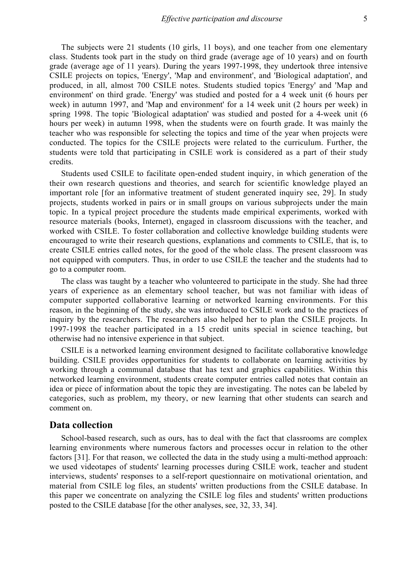The subjects were 21 students (10 girls, 11 boys), and one teacher from one elementary class. Students took part in the study on third grade (average age of 10 years) and on fourth grade (average age of 11 years). During the years 1997-1998, they undertook three intensive CSILE projects on topics, 'Energy', 'Map and environment', and 'Biological adaptation', and produced, in all, almost 700 CSILE notes. Students studied topics 'Energy' and 'Map and environment' on third grade. 'Energy' was studied and posted for a 4 week unit (6 hours per week) in autumn 1997, and 'Map and environment' for a 14 week unit (2 hours per week) in spring 1998. The topic 'Biological adaptation' was studied and posted for a 4-week unit (6 hours per week) in autumn 1998, when the students were on fourth grade. It was mainly the teacher who was responsible for selecting the topics and time of the year when projects were conducted. The topics for the CSILE projects were related to the curriculum. Further, the students were told that participating in CSILE work is considered as a part of their study credits.

Students used CSILE to facilitate open-ended student inquiry, in which generation of the their own research questions and theories, and search for scientific knowledge played an important role [for an informative treatment of student generated inquiry see, 29]. In study projects, students worked in pairs or in small groups on various subprojects under the main topic. In a typical project procedure the students made empirical experiments, worked with resource materials (books, Internet), engaged in classroom discussions with the teacher, and worked with CSILE. To foster collaboration and collective knowledge building students were encouraged to write their research questions, explanations and comments to CSILE, that is, to create CSILE entries called notes, for the good of the whole class. The present classroom was not equipped with computers. Thus, in order to use CSILE the teacher and the students had to go to a computer room.

The class was taught by a teacher who volunteered to participate in the study. She had three years of experience as an elementary school teacher, but was not familiar with ideas of computer supported collaborative learning or networked learning environments. For this reason, in the beginning of the study, she was introduced to CSILE work and to the practices of inquiry by the researchers. The researchers also helped her to plan the CSILE projects. In 1997-1998 the teacher participated in a 15 credit units special in science teaching, but otherwise had no intensive experience in that subject.

CSILE is a networked learning environment designed to facilitate collaborative knowledge building. CSILE provides opportunities for students to collaborate on learning activities by working through a communal database that has text and graphics capabilities. Within this networked learning environment, students create computer entries called notes that contain an idea or piece of information about the topic they are investigating. The notes can be labeled by categories, such as problem, my theory, or new learning that other students can search and comment on.

## **Data collection**

School-based research, such as ours, has to deal with the fact that classrooms are complex learning environments where numerous factors and processes occur in relation to the other factors [31]. For that reason, we collected the data in the study using a multi-method approach: we used videotapes of students' learning processes during CSILE work, teacher and student interviews, students' responses to a self-report questionnaire on motivational orientation, and material from CSILE log files, an students' written productions from the CSILE database. In this paper we concentrate on analyzing the CSILE log files and students' written productions posted to the CSILE database [for the other analyses, see, 32, 33, 34].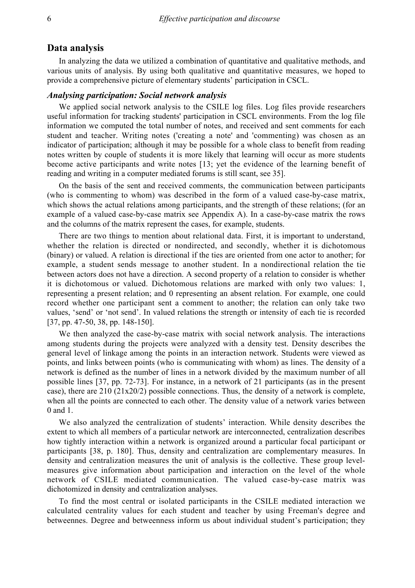## **Data analysis**

In analyzing the data we utilized a combination of quantitative and qualitative methods, and various units of analysis. By using both qualitative and quantitative measures, we hoped to provide a comprehensive picture of elementary students' participation in CSCL.

#### *Analysing participation: Social network analysis*

We applied social network analysis to the CSILE log files. Log files provide researchers useful information for tracking students' participation in CSCL environments. From the log file information we computed the total number of notes, and received and sent comments for each student and teacher. Writing notes ('creating a note' and 'commenting) was chosen as an indicator of participation; although it may be possible for a whole class to benefit from reading notes written by couple of students it is more likely that learning will occur as more students become active participants and write notes [13; yet the evidence of the learning benefit of reading and writing in a computer mediated forums is still scant, see 35].

On the basis of the sent and received comments, the communication between participants (who is commenting to whom) was described in the form of a valued case-by-case matrix, which shows the actual relations among participants, and the strength of these relations; (for an example of a valued case-by-case matrix see Appendix A). In a case-by-case matrix the rows and the columns of the matrix represent the cases, for example, students.

There are two things to mention about relational data. First, it is important to understand, whether the relation is directed or nondirected, and secondly, whether it is dichotomous (binary) or valued. A relation is directional if the ties are oriented from one actor to another; for example, a student sends message to another student. In a nondirectional relation the tie between actors does not have a direction. A second property of a relation to consider is whether it is dichotomous or valued. Dichotomous relations are marked with only two values: 1, representing a present relation; and 0 representing an absent relation. For example, one could record whether one participant sent a comment to another; the relation can only take two values, 'send' or 'not send'. In valued relations the strength or intensity of each tie is recorded [37, pp. 47-50, 38, pp. 148-150].

We then analyzed the case-by-case matrix with social network analysis. The interactions among students during the projects were analyzed with a density test. Density describes the general level of linkage among the points in an interaction network. Students were viewed as points, and links between points (who is communicating with whom) as lines. The density of a network is defined as the number of lines in a network divided by the maximum number of all possible lines [37, pp. 72-73]. For instance, in a network of 21 participants (as in the present case), there are  $210 (21x20/2)$  possible connections. Thus, the density of a network is complete, when all the points are connected to each other. The density value of a network varies between 0 and 1.

We also analyzed the centralization of students' interaction. While density describes the extent to which all members of a particular network are interconnected, centralization describes how tightly interaction within a network is organized around a particular focal participant or participants [38, p. 180]. Thus, density and centralization are complementary measures. In density and centralization measures the unit of analysis is the collective. These group levelmeasures give information about participation and interaction on the level of the whole network of CSILE mediated communication. The valued case-by-case matrix was dichotomized in density and centralization analyses.

To find the most central or isolated participants in the CSILE mediated interaction we calculated centrality values for each student and teacher by using Freeman's degree and betweennes. Degree and betweenness inform us about individual student's participation; they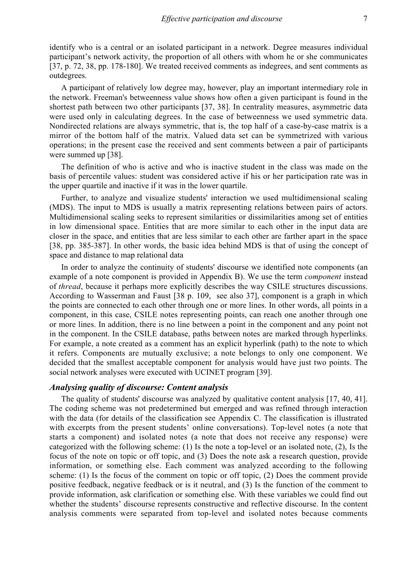identify who is a central or an isolated participant in a network. Degree measures individual participant's network activity, the proportion of all others with whom he or she communicates [37, p. 72, 38, pp. 178-180]. We treated received comments as indegrees, and sent comments as outdegrees.

A participant of relatively low degree may, however, play an important intermediary role in the network. Freeman's betweenness value shows how often a given participant is found in the shortest path between two other participants [37, 38]. In centrality measures, asymmetric data were used only in calculating degrees. In the case of betweenness we used symmetric data. Nondirected relations are always symmetric, that is, the top half of a case-by-case matrix is a mirror of the bottom half of the matrix. Valued data set can be symmetrized with various operations; in the present case the received and sent comments between a pair of participants were summed up [38].

The definition of who is active and who is inactive student in the class was made on the basis of percentile values: student was considered active if his or her participation rate was in the upper quartile and inactive if it was in the lower quartile.

Further, to analyze and visualize students' interaction we used multidimensional scaling (MDS). The input to MDS is usually a matrix representing relations between pairs of actors. Multidimensional scaling seeks to represent similarities or dissimilarities among set of entities in low dimensional space. Entities that are more similar to each other in the input data are closer in the space, and entities that are less similar to each other are farther apart in the space [38, pp. 385-387]. In other words, the basic idea behind MDS is that of using the concept of space and distance to map relational data

In order to analyze the continuity of students' discourse we identified note components (an example of a note component is provided in Appendix B). We use the term *component* instead of *thread*, because it perhaps more explicitly describes the way CSILE structures discussions. According to Wasserman and Faust [38 p. 109, see also 37], component is a graph in which the points are connected to each other through one or more lines. In other words, all points in a component, in this case, CSILE notes representing points, can reach one another through one or more lines. In addition, there is no line between a point in the component and any point not in the component. In the CSILE database, paths between notes are marked through hyperlinks. For example, a note created as a comment has an explicit hyperlink (path) to the note to which it refers. Components are mutually exclusive; a note belongs to only one component. We decided that the smallest acceptable component for analysis would have just two points. The social network analyses were executed with UCINET program [39].

## *Analysing quality of discourse: Content analysis*

The quality of students' discourse was analyzed by qualitative content analysis [17, 40, 41]. The coding scheme was not predetermined but emerged and was refined through interaction with the data (for details of the classification see Appendix C. The classification is illustrated with excerpts from the present students' online conversations). Top-level notes (a note that starts a component) and isolated notes (a note that does not receive any response) were categorized with the following scheme: (1) Is the note a top-level or an isolated note, (2), Is the focus of the note on topic or off topic, and (3) Does the note ask a research question, provide information, or something else. Each comment was analyzed according to the following scheme: (1) Is the focus of the comment on topic or off topic, (2) Does the comment provide positive feedback, negative feedback or is it neutral, and (3) Is the function of the comment to provide information, ask clarification or something else. With these variables we could find out whether the students' discourse represents constructive and reflective discourse. In the content analysis comments were separated from top-level and isolated notes because comments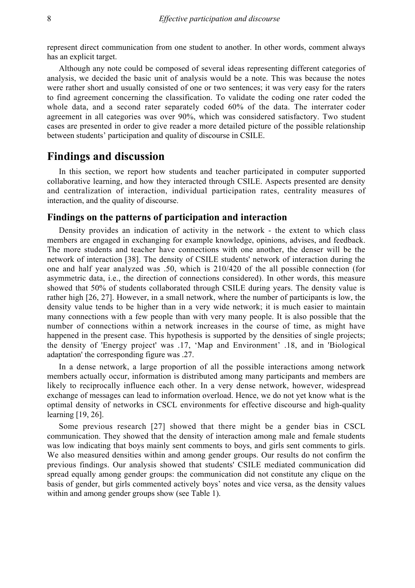represent direct communication from one student to another. In other words, comment always has an explicit target.

Although any note could be composed of several ideas representing different categories of analysis, we decided the basic unit of analysis would be a note. This was because the notes were rather short and usually consisted of one or two sentences; it was very easy for the raters to find agreement concerning the classification. To validate the coding one rater coded the whole data, and a second rater separately coded 60% of the data. The interrater coder agreement in all categories was over 90%, which was considered satisfactory. Two student cases are presented in order to give reader a more detailed picture of the possible relationship between students' participation and quality of discourse in CSILE.

# **Findings and discussion**

In this section, we report how students and teacher participated in computer supported collaborative learning, and how they interacted through CSILE. Aspects presented are density and centralization of interaction, individual participation rates, centrality measures of interaction, and the quality of discourse.

## **Findings on the patterns of participation and interaction**

Density provides an indication of activity in the network - the extent to which class members are engaged in exchanging for example knowledge, opinions, advises, and feedback. The more students and teacher have connections with one another, the denser will be the network of interaction [38]. The density of CSILE students' network of interaction during the one and half year analyzed was .50, which is 210/420 of the all possible connection (for asymmetric data, i.e., the direction of connections considered). In other words, this measure showed that 50% of students collaborated through CSILE during years. The density value is rather high [26, 27]. However, in a small network, where the number of participants is low, the density value tends to be higher than in a very wide network; it is much easier to maintain many connections with a few people than with very many people. It is also possible that the number of connections within a network increases in the course of time, as might have happened in the present case. This hypothesis is supported by the densities of single projects; the density of 'Energy project' was .17, 'Map and Environment' .18, and in 'Biological adaptation' the corresponding figure was .27.

In a dense network, a large proportion of all the possible interactions among network members actually occur, information is distributed among many participants and members are likely to reciprocally influence each other. In a very dense network, however, widespread exchange of messages can lead to information overload. Hence, we do not yet know what is the optimal density of networks in CSCL environments for effective discourse and high-quality learning [19, 26].

Some previous research [27] showed that there might be a gender bias in CSCL communication. They showed that the density of interaction among male and female students was low indicating that boys mainly sent comments to boys, and girls sent comments to girls. We also measured densities within and among gender groups. Our results do not confirm the previous findings. Our analysis showed that students' CSILE mediated communication did spread equally among gender groups: the communication did not constitute any clique on the basis of gender, but girls commented actively boys' notes and vice versa, as the density values within and among gender groups show (see Table 1).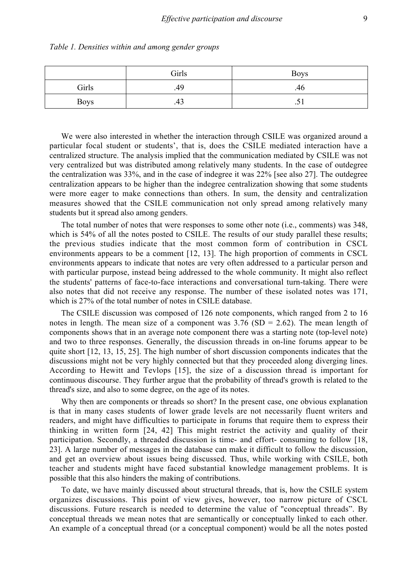|             | Girls | <b>Boys</b> |
|-------------|-------|-------------|
| Girls       | .49   | .46         |
| <b>Boys</b> | 43.   | ٠IJ         |

| Table 1. Densities within and among gender groups |  |  |  |  |  |  |  |
|---------------------------------------------------|--|--|--|--|--|--|--|
|---------------------------------------------------|--|--|--|--|--|--|--|

We were also interested in whether the interaction through CSILE was organized around a particular focal student or students', that is, does the CSILE mediated interaction have a centralized structure. The analysis implied that the communication mediated by CSILE was not very centralized but was distributed among relatively many students. In the case of outdegree the centralization was 33%, and in the case of indegree it was 22% [see also 27]. The outdegree centralization appears to be higher than the indegree centralization showing that some students were more eager to make connections than others. In sum, the density and centralization measures showed that the CSILE communication not only spread among relatively many students but it spread also among genders.

The total number of notes that were responses to some other note (i.e., comments) was 348, which is  $54\%$  of all the notes posted to CSILE. The results of our study parallel these results; the previous studies indicate that the most common form of contribution in CSCL environments appears to be a comment [12, 13]. The high proportion of comments in CSCL environments appears to indicate that notes are very often addressed to a particular person and with particular purpose, instead being addressed to the whole community. It might also reflect the students' patterns of face-to-face interactions and conversational turn-taking. There were also notes that did not receive any response. The number of these isolated notes was 171, which is 27% of the total number of notes in CSILE database.

The CSILE discussion was composed of 126 note components, which ranged from 2 to 16 notes in length. The mean size of a component was  $3.76$  (SD = 2.62). The mean length of components shows that in an average note component there was a starting note (top-level note) and two to three responses. Generally, the discussion threads in on-line forums appear to be quite short [12, 13, 15, 25]. The high number of short discussion components indicates that the discussions might not be very highly connected but that they proceeded along diverging lines. According to Hewitt and Tevlops [15], the size of a discussion thread is important for continuous discourse. They further argue that the probability of thread's growth is related to the thread's size, and also to some degree, on the age of its notes.

Why then are components or threads so short? In the present case, one obvious explanation is that in many cases students of lower grade levels are not necessarily fluent writers and readers, and might have difficulties to participate in forums that require them to express their thinking in written form [24, 42] This might restrict the activity and quality of their participation. Secondly, a threaded discussion is time- and effort- consuming to follow [18, 23]. A large number of messages in the database can make it difficult to follow the discussion, and get an overview about issues being discussed. Thus, while working with CSILE, both teacher and students might have faced substantial knowledge management problems. It is possible that this also hinders the making of contributions.

To date, we have mainly discussed about structural threads, that is, how the CSILE system organizes discussions. This point of view gives, however, too narrow picture of CSCL discussions. Future research is needed to determine the value of "conceptual threads". By conceptual threads we mean notes that are semantically or conceptually linked to each other. An example of a conceptual thread (or a conceptual component) would be all the notes posted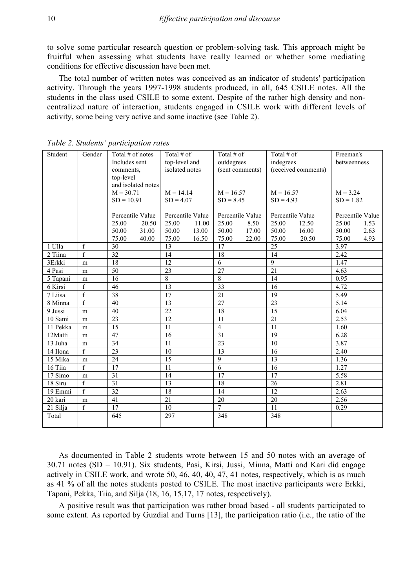to solve some particular research question or problem-solving task. This approach might be fruitful when assessing what students have really learned or whether some mediating conditions for effective discussion have been met.

The total number of written notes was conceived as an indicator of students' participation activity. Through the years 1997-1998 students produced, in all, 645 CSILE notes. All the students in the class used CSILE to some extent. Despite of the rather high density and noncentralized nature of interaction, students engaged in CSILE work with different levels of activity, some being very active and some inactive (see Table 2).

| Student  | Gender         | Total # of notes<br>Total $#$ of |       | Total $#$ of     |       | Total $#$ of     |       | Freeman's           |                  |                  |      |
|----------|----------------|----------------------------------|-------|------------------|-------|------------------|-------|---------------------|------------------|------------------|------|
|          |                | Includes sent                    |       | top-level and    |       | outdegrees       |       | indegrees           |                  | betweenness      |      |
|          |                | comments,                        |       | isolated notes   |       | (sent comments)  |       | (received comments) |                  |                  |      |
|          |                | top-level                        |       |                  |       |                  |       |                     |                  |                  |      |
|          |                | and isolated notes               |       |                  |       |                  |       |                     |                  |                  |      |
|          |                | $M = 30.71$                      |       | $M = 14.14$      |       | $M = 16.57$      |       | $M = 16.57$         |                  | $M = 3.24$       |      |
|          |                | $SD = 10.91$                     |       | $SD = 4.07$      |       | $SD = 8.45$      |       | $SD = 4.93$         |                  | $SD = 1.82$      |      |
|          |                |                                  |       |                  |       |                  |       |                     |                  |                  |      |
|          |                | Percentile Value                 |       | Percentile Value |       | Percentile Value |       |                     | Percentile Value | Percentile Value |      |
|          |                | 25.00                            | 20.50 | 25.00            | 11.00 | 25.00            | 8.50  | 25.00               | 12.50            | 25.00            | 1.53 |
|          |                | 50.00                            | 31.00 | 50.00            | 13.00 | 50.00            | 17.00 | 50.00               | 16.00            | 50.00            | 2.63 |
|          |                | 75.00                            | 40.00 | 75.00            | 16.50 | 75.00            | 22.00 | 75.00               | 20.50            | 75.00            | 4.93 |
| 1 Ulla   | f              | 30                               |       | 13               |       | 17               |       | 25                  |                  | 3.97             |      |
| 2 Tiina  | $\mathbf f$    | 32                               |       | 14               |       | 18               |       | 14                  |                  | 2.42             |      |
| 3Erkki   | m              | 18                               |       | 12               |       | 6                |       | 9                   |                  | 1.47             |      |
| 4 Pasi   | m              | 50                               |       | 23               |       | 27               |       | 21                  |                  | 4.63             |      |
| 5 Tapani | m              | 16                               |       | 8                |       | 8                |       | 14                  |                  | 0.95             |      |
| 6 Kirsi  | $\mathbf f$    | 46                               |       | 13               |       | 33               |       | 16                  |                  | 4.72             |      |
| 7 Liisa  | $\mathbf f$    | 38                               |       | 17               |       | 21               |       | 19                  |                  | 5.49             |      |
| 8 Minna  | $\mathbf{f}$   | 40                               |       | 13               |       | 27               |       | 23                  |                  | 5.14             |      |
| 9 Jussi  | m              | 40                               |       | $\overline{22}$  |       | 18               |       | $\overline{15}$     |                  | 6.04             |      |
| 10 Sami  | m              | 23                               |       | 12               |       | 11               |       | 21                  |                  | 2.53             |      |
| 11 Pekka | m              | 15                               |       | 11               |       | $\overline{4}$   |       | 11                  |                  | 1.60             |      |
| 12Matti  | m              | 47                               |       | 16               |       | 31               |       | 19                  |                  | 6.28             |      |
| 13 Juha  | m              | 34                               |       | 11               |       | 23               |       | 10                  |                  | 3.87             |      |
| 14 Ilona | $\mathbf f$    | $\overline{23}$                  |       | 10               |       | 13               |       | 16                  |                  | 2.40             |      |
| 15 Mika  | m              | 24                               |       | 15               |       | $\mathbf{Q}$     |       | 13                  |                  | 1.36             |      |
| 16 Tiia  | $\overline{f}$ | 17                               |       | 11               |       | $\overline{6}$   |       | 16                  |                  | 1.27             |      |
| 17 Simo  | m              | 31                               |       | 14               |       | 17               |       | 17                  |                  | 5.58             |      |
| 18 Siru  | f              | 31                               |       | 13               |       | 18               |       | 26                  |                  | 2.81             |      |
| 19 Emmi  | f              | 32                               |       | 18               |       | 14               |       | 12                  |                  | 2.63             |      |
| 20 kari  | m              | 41                               |       | 21               |       | 20               |       | 20                  |                  | 2.56             |      |
| 21 Silja | $\mathbf f$    | 17                               |       | 10               |       | $\overline{7}$   |       | 11                  |                  | 0.29             |      |
| Total    |                | 645                              |       | 297              |       | 348              |       | 348                 |                  |                  |      |
|          |                |                                  |       |                  |       |                  |       |                     |                  |                  |      |
|          |                |                                  |       |                  |       |                  |       |                     |                  |                  |      |

*Table 2. Students' participation rates* 

As documented in Table 2 students wrote between 15 and 50 notes with an average of 30.71 notes (SD = 10.91). Six students, Pasi, Kirsi, Jussi, Minna, Matti and Kari did engage actively in CSILE work, and wrote 50, 46, 40, 40, 47, 41 notes, respectively, which is as much as 41 % of all the notes students posted to CSILE. The most inactive participants were Erkki, Tapani, Pekka, Tiia, and Silja (18, 16, 15,17, 17 notes, respectively).

A positive result was that participation was rather broad based - all students participated to some extent. As reported by Guzdial and Turns [13], the participation ratio (i.e., the ratio of the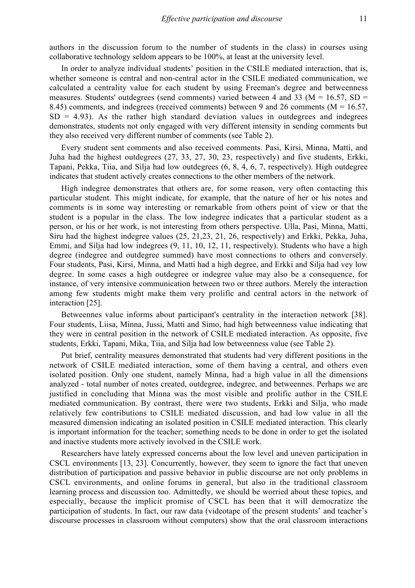authors in the discussion forum to the number of students in the class) in courses using collaborative technology seldom appears to be 100%, at least at the university level.

In order to analyze individual students' position in the CSILE mediated interaction, that is, whether someone is central and non-central actor in the CSILE mediated communication, we calculated a centrality value for each student by using Freeman's degree and betweenness measures. Students' outdegrees (send comments) varied between 4 and 33 ( $M = 16.57$ , SD = 8.45) comments, and indegrees (received comments) between 9 and 26 comments ( $M = 16.57$ ,  $SD = 4.93$ ). As the rather high standard deviation values in outdegrees and indegrees demonstrates, students not only engaged with very different intensity in sending comments but they also received very different number of comments (see Table 2).

Every student sent comments and also received comments. Pasi, Kirsi, Minna, Matti, and Juha had the highest outdegrees (27, 33, 27, 30, 23, respectively) and five students, Erkki, Tapani, Pekka, Tiia, and Silja had low outdegrees (6, 8, 4, 6, 7, respectively). High outdegree indicates that student actively creates connections to the other members of the network.

High indegree demonstrates that others are, for some reason, very often contacting this particular student. This might indicate, for example, that the nature of her or his notes and comments is in some way interesting or remarkable from others point of view or that the student is a popular in the class. The low indegree indicates that a particular student as a person, or his or her work, is not interesting from others perspective. Ulla, Pasi, Minna, Matti, Siru had the highest indegree values (25, 21,23, 21, 26, respectively) and Erkki, Pekka, Juha, Emmi, and Silja had low indegrees (9, 11, 10, 12, 11, respectively). Students who have a high degree (indegree and outdegree summed) have most connections to others and conversely. Four students, Pasi, Kirsi, Minna, and Matti had a high degree, and Erkki and Silja had vey low degree. In some cases a high outdegree or indegree value may also be a consequence, for instance, of very intensive communication between two or three authors. Merely the interaction among few students might make them very prolific and central actors in the network of interaction [25].

Betweennes value informs about participant's centrality in the interaction network [38]. Four students, Liisa, Minna, Jussi, Matti and Simo, had high betweenness value indicating that they were in central position in the network of CSILE mediated interaction. As opposite, five students, Erkki, Tapani, Mika, Tiia, and Silja had low betweenness value (see Table 2).

Put brief, centrality measures demonstrated that students had very different positions in the network of CSILE mediated interaction, some of them having a central, and others even isolated position. Only one student, namely Minna, had a high value in all the dimensions analyzed - total number of notes created, outdegree, indegree, and betweennes. Perhaps we are justified in concluding that Minna was the most visible and prolific author in the CSILE mediated communication. By contrast, there were two students, Erkki and Silja, who made relatively few contributions to CSILE mediated discussion, and had low value in all the measured dimension indicating an isolated position in CSILE mediated interaction. This clearly is important information for the teacher; something needs to be done in order to get the isolated and inactive students more actively involved in the CSILE work.

Researchers have lately expressed concerns about the low level and uneven participation in CSCL environments [13, 23]. Concurrently, however, they seem to ignore the fact that uneven distribution of participation and passive behavior in public discourse are not only problems in CSCL environments, and online forums in general, but also in the traditional classroom learning process and discussion too. Admittedly, we should be worried about these topics, and especially, because the implicit promise of CSCL has been that it will democratize the participation of students. In fact, our raw data (videotape of the present students' and teacher's discourse processes in classroom without computers) show that the oral classroom interactions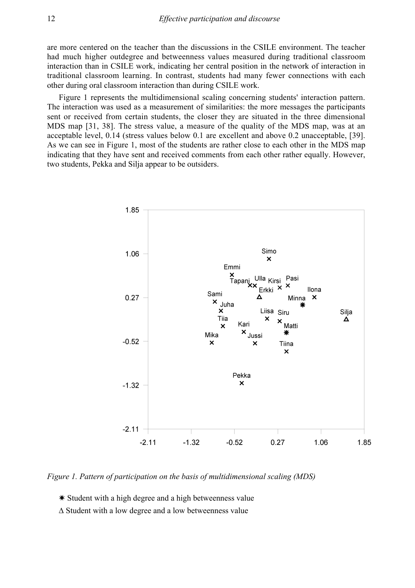are more centered on the teacher than the discussions in the CSILE environment. The teacher had much higher outdegree and betweenness values measured during traditional classroom interaction than in CSILE work, indicating her central position in the network of interaction in traditional classroom learning. In contrast, students had many fewer connections with each other during oral classroom interaction than during CSILE work.

Figure 1 represents the multidimensional scaling concerning students' interaction pattern. The interaction was used as a measurement of similarities: the more messages the participants sent or received from certain students, the closer they are situated in the three dimensional MDS map [31, 38]. The stress value, a measure of the quality of the MDS map, was at an acceptable level, 0.14 (stress values below 0.1 are excellent and above 0.2 unacceptable, [39]. As we can see in Figure 1, most of the students are rather close to each other in the MDS map indicating that they have sent and received comments from each other rather equally. However, two students, Pekka and Silja appear to be outsiders.



*Figure 1. Pattern of participation on the basis of multidimensional scaling (MDS)*

✷ Student with a high degree and a high betweenness value

∆ Student with a low degree and a low betweenness value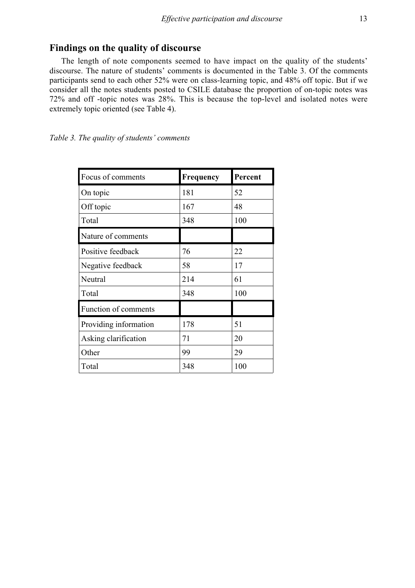## **Findings on the quality of discourse**

The length of note components seemed to have impact on the quality of the students' discourse. The nature of students' comments is documented in the Table 3. Of the comments participants send to each other 52% were on class-learning topic, and 48% off topic. But if we consider all the notes students posted to CSILE database the proportion of on-topic notes was 72% and off -topic notes was 28%. This is because the top-level and isolated notes were extremely topic oriented (see Table 4).

|  |  |  |  |  | Table 3. The quality of students' comments |
|--|--|--|--|--|--------------------------------------------|
|--|--|--|--|--|--------------------------------------------|

| Focus of comments     | Frequency | Percent |
|-----------------------|-----------|---------|
| On topic              | 181       | 52      |
| Off topic             | 167       | 48      |
| Total                 | 348       | 100     |
| Nature of comments    |           |         |
| Positive feedback     | 76        | 22      |
| Negative feedback     | 58        | 17      |
| Neutral               | 214       | 61      |
| Total                 | 348       | 100     |
| Function of comments  |           |         |
| Providing information | 178       | 51      |
| Asking clarification  | 71        | 20      |
| Other                 | 99        | 29      |
| Total                 | 348       | 100     |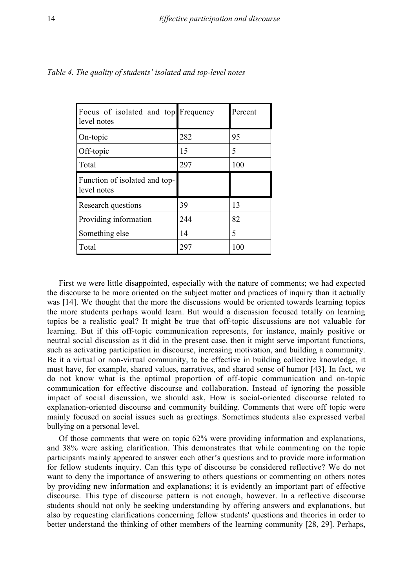| Focus of isolated and top Frequency<br>level notes |     | Percent |
|----------------------------------------------------|-----|---------|
| On-topic                                           | 282 | 95      |
| Off-topic                                          | 15  | 5       |
| Total                                              | 297 | 100     |
| Function of isolated and top-<br>level notes       |     |         |
| Research questions                                 | 39  | 13      |
| Providing information                              | 244 | 82      |
| Something else                                     | 14  | 5       |
| Total                                              | 297 | 100     |

*Table 4. The quality of students' isolated and top-level notes*

First we were little disappointed, especially with the nature of comments; we had expected the discourse to be more oriented on the subject matter and practices of inquiry than it actually was [14]. We thought that the more the discussions would be oriented towards learning topics the more students perhaps would learn. But would a discussion focused totally on learning topics be a realistic goal? It might be true that off-topic discussions are not valuable for learning. But if this off-topic communication represents, for instance, mainly positive or neutral social discussion as it did in the present case, then it might serve important functions, such as activating participation in discourse, increasing motivation, and building a community. Be it a virtual or non-virtual community, to be effective in building collective knowledge, it must have, for example, shared values, narratives, and shared sense of humor [43]. In fact, we do not know what is the optimal proportion of off-topic communication and on-topic communication for effective discourse and collaboration. Instead of ignoring the possible impact of social discussion, we should ask, How is social-oriented discourse related to explanation-oriented discourse and community building. Comments that were off topic were mainly focused on social issues such as greetings. Sometimes students also expressed verbal bullying on a personal level.

Of those comments that were on topic 62% were providing information and explanations, and 38% were asking clarification. This demonstrates that while commenting on the topic participants mainly appeared to answer each other's questions and to provide more information for fellow students inquiry. Can this type of discourse be considered reflective? We do not want to deny the importance of answering to others questions or commenting on others notes by providing new information and explanations; it is evidently an important part of effective discourse. This type of discourse pattern is not enough, however. In a reflective discourse students should not only be seeking understanding by offering answers and explanations, but also by requesting clarifications concerning fellow students' questions and theories in order to better understand the thinking of other members of the learning community [28, 29]. Perhaps,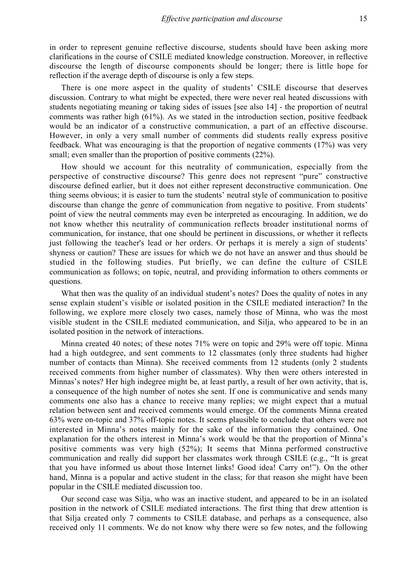in order to represent genuine reflective discourse, students should have been asking more clarifications in the course of CSILE mediated knowledge construction. Moreover, in reflective discourse the length of discourse components should be longer; there is little hope for reflection if the average depth of discourse is only a few steps.

There is one more aspect in the quality of students' CSILE discourse that deserves discussion. Contrary to what might be expected, there were never real heated discussions with students negotiating meaning or taking sides of issues [see also 14] - the proportion of neutral comments was rather high (61%). As we stated in the introduction section, positive feedback would be an indicator of a constructive communication, a part of an effective discourse. However, in only a very small number of comments did students really express positive feedback. What was encouraging is that the proportion of negative comments (17%) was very small; even smaller than the proportion of positive comments (22%).

How should we account for this neutrality of communication, especially from the perspective of constructive discourse? This genre does not represent "pure" constructive discourse defined earlier, but it does not either represent deconstructive communication. One thing seems obvious; it is easier to turn the students' neutral style of communication to positive discourse than change the genre of communication from negative to positive. From students' point of view the neutral comments may even be interpreted as encouraging. In addition, we do not know whether this neutrality of communication reflects broader institutional norms of communication, for instance, that one should be pertinent in discussions, or whether it reflects just following the teacher's lead or her orders. Or perhaps it is merely a sign of students' shyness or caution? These are issues for which we do not have an answer and thus should be studied in the following studies. Put briefly, we can define the culture of CSILE communication as follows; on topic, neutral, and providing information to others comments or questions.

What then was the quality of an individual student's notes? Does the quality of notes in any sense explain student's visible or isolated position in the CSILE mediated interaction? In the following, we explore more closely two cases, namely those of Minna, who was the most visible student in the CSILE mediated communication, and Silja, who appeared to be in an isolated position in the network of interactions.

Minna created 40 notes; of these notes 71% were on topic and 29% were off topic. Minna had a high outdegree, and sent comments to 12 classmates (only three students had higher number of contacts than Minna). She received comments from 12 students (only 2 students received comments from higher number of classmates). Why then were others interested in Minnas's notes? Her high indegree might be, at least partly, a result of her own activity, that is, a consequence of the high number of notes she sent. If one is communicative and sends many comments one also has a chance to receive many replies; we might expect that a mutual relation between sent and received comments would emerge. Of the comments Minna created 63% were on-topic and 37% off-topic notes. It seems plausible to conclude that others were not interested in Minna's notes mainly for the sake of the information they contained. One explanation for the others interest in Minna's work would be that the proportion of Minna's positive comments was very high (52%); It seems that Minna performed constructive communication and really did support her classmates work through CSILE (e.g., "It is great that you have informed us about those Internet links! Good idea! Carry on!"). On the other hand, Minna is a popular and active student in the class; for that reason she might have been popular in the CSILE mediated discussion too.

Our second case was Silja, who was an inactive student, and appeared to be in an isolated position in the network of CSILE mediated interactions. The first thing that drew attention is that Silja created only 7 comments to CSILE database, and perhaps as a consequence, also received only 11 comments. We do not know why there were so few notes, and the following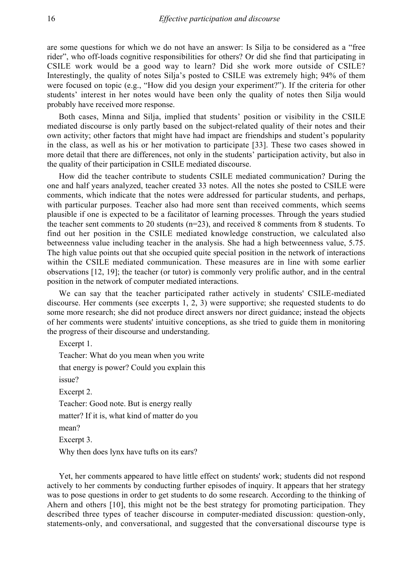are some questions for which we do not have an answer: Is Silja to be considered as a "free rider", who off-loads cognitive responsibilities for others? Or did she find that participating in CSILE work would be a good way to learn? Did she work more outside of CSILE? Interestingly, the quality of notes Silja's posted to CSILE was extremely high; 94% of them were focused on topic (e.g., "How did you design your experiment?"). If the criteria for other students' interest in her notes would have been only the quality of notes then Silja would probably have received more response.

Both cases, Minna and Silja, implied that students' position or visibility in the CSILE mediated discourse is only partly based on the subject-related quality of their notes and their own activity; other factors that might have had impact are friendships and student's popularity in the class, as well as his or her motivation to participate [33]. These two cases showed in more detail that there are differences, not only in the students' participation activity, but also in the quality of their participation in CSILE mediated discourse.

How did the teacher contribute to students CSILE mediated communication? During the one and half years analyzed, teacher created 33 notes. All the notes she posted to CSILE were comments, which indicate that the notes were addressed for particular students, and perhaps, with particular purposes. Teacher also had more sent than received comments, which seems plausible if one is expected to be a facilitator of learning processes. Through the years studied the teacher sent comments to 20 students (n=23), and received 8 comments from 8 students. To find out her position in the CSILE mediated knowledge construction, we calculated also betweenness value including teacher in the analysis. She had a high betweenness value, 5.75. The high value points out that she occupied quite special position in the network of interactions within the CSILE mediated communication. These measures are in line with some earlier observations [12, 19]; the teacher (or tutor) is commonly very prolific author, and in the central position in the network of computer mediated interactions.

We can say that the teacher participated rather actively in students' CSILE-mediated discourse. Her comments (see excerpts 1, 2, 3) were supportive; she requested students to do some more research; she did not produce direct answers nor direct guidance; instead the objects of her comments were students' intuitive conceptions, as she tried to guide them in monitoring the progress of their discourse and understanding.

Excerpt 1.

Teacher: What do you mean when you write

that energy is power? Could you explain this

issue?

Excerpt 2.

Teacher: Good note. But is energy really

matter? If it is, what kind of matter do you

```
mean?
```
Excerpt 3.

Why then does lynx have tufts on its ears?

Yet, her comments appeared to have little effect on students' work; students did not respond actively to her comments by conducting further episodes of inquiry. It appears that her strategy was to pose questions in order to get students to do some research. According to the thinking of Ahern and others [10], this might not be the best strategy for promoting participation. They described three types of teacher discourse in computer-mediated discussion: question-only, statements-only, and conversational, and suggested that the conversational discourse type is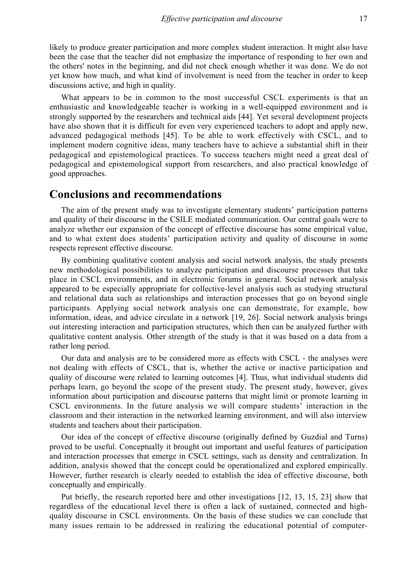likely to produce greater participation and more complex student interaction. It might also have been the case that the teacher did not emphasize the importance of responding to her own and the others' notes in the beginning, and did not check enough whether it was done. We do not yet know how much, and what kind of involvement is need from the teacher in order to keep discussions active, and high in quality.

What appears to be in common to the most successful CSCL experiments is that an enthusiastic and knowledgeable teacher is working in a well-equipped environment and is strongly supported by the researchers and technical aids [44]. Yet several development projects have also shown that it is difficult for even very experienced teachers to adopt and apply new, advanced pedagogical methods [45]. To be able to work effectively with CSCL, and to implement modern cognitive ideas, many teachers have to achieve a substantial shift in their pedagogical and epistemological practices. To success teachers might need a great deal of pedagogical and epistemological support from researchers, and also practical knowledge of good approaches.

# **Conclusions and recommendations**

The aim of the present study was to investigate elementary students' participation patterns and quality of their discourse in the CSILE mediated communication. Our central goals were to analyze whether our expansion of the concept of effective discourse has some empirical value, and to what extent does students' participation activity and quality of discourse in some respects represent effective discourse.

By combining qualitative content analysis and social network analysis, the study presents new methodological possibilities to analyze participation and discourse processes that take place in CSCL environments, and in electronic forums in general. Social network analysis appeared to be especially appropriate for collective-level analysis such as studying structural and relational data such as relationships and interaction processes that go on beyond single participants. Applying social network analysis one can demonstrate, for example, how information, ideas, and advice circulate in a network [19, 26]. Social network analysis brings out interesting interaction and participation structures, which then can be analyzed further with qualitative content analysis. Other strength of the study is that it was based on a data from a rather long period.

Our data and analysis are to be considered more as effects with CSCL - the analyses were not dealing with effects of CSCL, that is, whether the active or inactive participation and quality of discourse were related to learning outcomes [4]. Thus, what individual students did perhaps learn, go beyond the scope of the present study. The present study, however, gives information about participation and discourse patterns that might limit or promote learning in CSCL environments. In the future analysis we will compare students' interaction in the classroom and their interaction in the networked learning environment, and will also interview students and teachers about their participation.

Our idea of the concept of effective discourse (originally defined by Guzdial and Turns) proved to be useful. Conceptually it brought out important and useful features of participation and interaction processes that emerge in CSCL settings, such as density and centralization. In addition, analysis showed that the concept could be operationalized and explored empirically. However, further research is clearly needed to establish the idea of effective discourse, both conceptually and empirically.

Put briefly, the research reported here and other investigations [12, 13, 15, 23] show that regardless of the educational level there is often a lack of sustained, connected and highquality discourse in CSCL environments. On the basis of these studies we can conclude that many issues remain to be addressed in realizing the educational potential of computer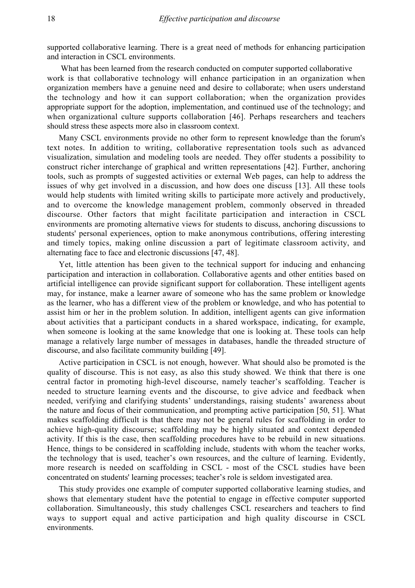supported collaborative learning. There is a great need of methods for enhancing participation and interaction in CSCL environments.

 What has been learned from the research conducted on computer supported collaborative work is that collaborative technology will enhance participation in an organization when organization members have a genuine need and desire to collaborate; when users understand the technology and how it can support collaboration; when the organization provides appropriate support for the adoption, implementation, and continued use of the technology; and when organizational culture supports collaboration [46]. Perhaps researchers and teachers should stress these aspects more also in classroom context.

Many CSCL environments provide no other form to represent knowledge than the forum's text notes. In addition to writing, collaborative representation tools such as advanced visualization, simulation and modeling tools are needed. They offer students a possibility to construct richer interchange of graphical and written representations [42]. Further, anchoring tools, such as prompts of suggested activities or external Web pages, can help to address the issues of why get involved in a discussion, and how does one discuss [13]. All these tools would help students with limited writing skills to participate more actively and productively, and to overcome the knowledge management problem, commonly observed in threaded discourse. Other factors that might facilitate participation and interaction in CSCL environments are promoting alternative views for students to discuss, anchoring discussions to students' personal experiences, option to make anonymous contributions, offering interesting and timely topics, making online discussion a part of legitimate classroom activity, and alternating face to face and electronic discussions [47, 48].

Yet, little attention has been given to the technical support for inducing and enhancing participation and interaction in collaboration. Collaborative agents and other entities based on artificial intelligence can provide significant support for collaboration. These intelligent agents may, for instance, make a learner aware of someone who has the same problem or knowledge as the learner, who has a different view of the problem or knowledge, and who has potential to assist him or her in the problem solution. In addition, intelligent agents can give information about activities that a participant conducts in a shared workspace, indicating, for example, when someone is looking at the same knowledge that one is looking at. These tools can help manage a relatively large number of messages in databases, handle the threaded structure of discourse, and also facilitate community building [49].

Active participation in CSCL is not enough, however. What should also be promoted is the quality of discourse. This is not easy, as also this study showed. We think that there is one central factor in promoting high-level discourse, namely teacher's scaffolding. Teacher is needed to structure learning events and the discourse, to give advice and feedback when needed, verifying and clarifying students' understandings, raising students' awareness about the nature and focus of their communication, and prompting active participation [50, 51]. What makes scaffolding difficult is that there may not be general rules for scaffolding in order to achieve high-quality discourse; scaffolding may be highly situated and context depended activity. If this is the case, then scaffolding procedures have to be rebuild in new situations. Hence, things to be considered in scaffolding include, students with whom the teacher works, the technology that is used, teacher's own resources, and the culture of learning. Evidently, more research is needed on scaffolding in CSCL - most of the CSCL studies have been concentrated on students' learning processes; teacher's role is seldom investigated area.

This study provides one example of computer supported collaborative learning studies, and shows that elementary student have the potential to engage in effective computer supported collaboration. Simultaneously, this study challenges CSCL researchers and teachers to find ways to support equal and active participation and high quality discourse in CSCL environments.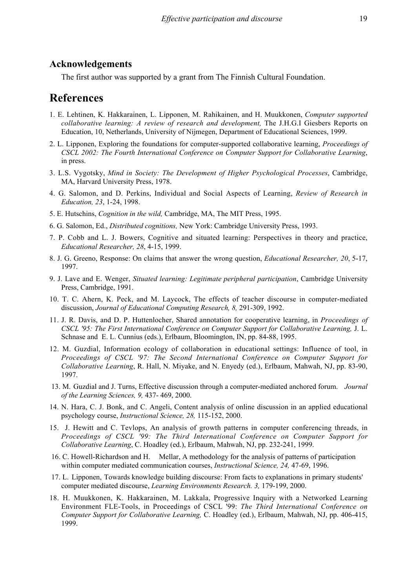## **Acknowledgements**

The first author was supported by a grant from The Finnish Cultural Foundation.

# **References**

- 1. E. Lehtinen, K. Hakkarainen, L. Lipponen, M. Rahikainen, and H. Muukkonen, *Computer supported collaborative learning: A review of research and development,* The J.H.G.I Giesbers Reports on Education, 10, Netherlands, University of Nijmegen, Department of Educational Sciences, 1999.
- 2. L. Lipponen, Exploring the foundations for computer-supported collaborative learning, *Proceedings of CSCL 2002: The Fourth International Conference on Computer Support for Collaborative Learning*, in press.
- 3. L.S. Vygotsky, *Mind in Society: The Development of Higher Psychological Processes*, Cambridge, MA, Harvard University Press, 1978.
- 4. G. Salomon, and D. Perkins, Individual and Social Aspects of Learning, *Review of Research in Education, 23*, 1-24, 1998.
- 5. E. Hutschins, *Cognition in the wild,* Cambridge, MA, The MIT Press, 1995.
- 6. G. Salomon, Ed., *Distributed cognitions,* New York: Cambridge University Press, 1993.
- 7. P. Cobb and L. J. Bowers, Cognitive and situated learning: Perspectives in theory and practice, *Educational Researcher, 28*, 4-15, 1999.
- 8. J. G. Greeno, Response: On claims that answer the wrong question, *Educational Researcher, 20*, 5-17, 1997.
- 9. J. Lave and E. Wenger, *Situated learning: Legitimate peripheral participation*, Cambridge University Press, Cambridge, 1991.
- 10. T. C. Ahern, K. Peck, and M. Laycock, The effects of teacher discourse in computer-mediated discussion, *Journal of Educational Computing Research, 8,* 291-309, 1992.
- 11. J. R. Davis, and D. P. Huttenlocher, Shared annotation for cooperative learning, in *Proceedings of CSCL '95: The First International Conference on Computer Support for Collaborative Learning,* J. L. Schnase and E. L. Cunnius (eds.), Erlbaum, Bloomington, IN, pp. 84-88, 1995.
- 12. M. Guzdial, Information ecology of collaboration in educational settings: Influence of tool, in *Proceedings of CSCL '97: The Second International Conference on Computer Support for Collaborative Learning*, R. Hall, N. Miyake, and N. Enyedy (ed.), Erlbaum, Mahwah, NJ, pp. 83-90, 1997.
- 13. M. Guzdial and J. Turns, Effective discussion through a computer-mediated anchored forum. *Journal of the Learning Sciences, 9,* 437- 469, 2000.
- 14. N. Hara, C. J. Bonk, and C. Angeli, Content analysis of online discussion in an applied educational psychology course, *Instructional Science, 28,* 115-152, 2000.
- 15. J. Hewitt and C. Tevlops, An analysis of growth patterns in computer conferencing threads, in *Proceedings of CSCL '99: The Third International Conference on Computer Support for Collaborative Learning*, C. Hoadley (ed.), Erlbaum, Mahwah, NJ, pp. 232-241, 1999.
- 16. C. Howell-Richardson and H. Mellar, A methodology for the analysis of patterns of participation within computer mediated communication courses, *Instructional Science, 24,* 47-69, 1996.
- 17. L. Lipponen, Towards knowledge building discourse: From facts to explanations in primary students' computer mediated discourse, *Learning Environments Research. 3,* 179-199, 2000.
- 18. H. Muukkonen, K. Hakkarainen, M. Lakkala, Progressive Inquiry with a Networked Learning Environment FLE-Tools, in Proceedings of CSCL '99: *The Third International Conference on Computer Support for Collaborative Learning,* C. Hoadley (ed.), Erlbaum, Mahwah, NJ, pp. 406-415, 1999.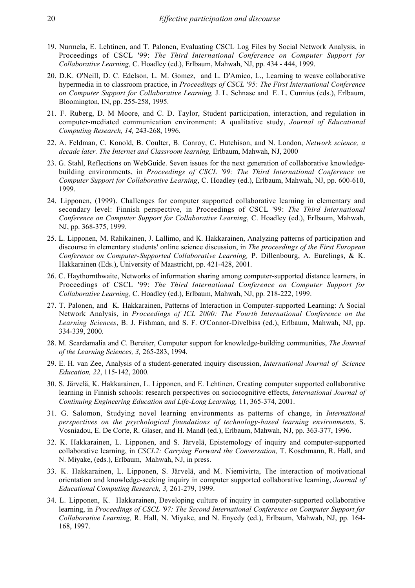- 19. Nurmela, E. Lehtinen, and T. Palonen, Evaluating CSCL Log Files by Social Network Analysis, in Proceedings of CSCL '99: *The Third International Conference on Computer Support for Collaborative Learning,* C. Hoadley (ed.), Erlbaum, Mahwah, NJ, pp. 434 - 444, 1999.
- 20. D.K. O'Neill, D. C. Edelson, L. M. Gomez, and L. D'Amico, L., Learning to weave collaborative hypermedia in to classroom practice, in *Proceedings of CSCL '95: The First International Conference on Computer Support for Collaborative Learning,* J. L. Schnase and E. L. Cunnius (eds.), Erlbaum, Bloomington, IN, pp. 255-258, 1995.
- 21. F. Ruberg, D. M Moore, and C. D. Taylor, Student participation, interaction, and regulation in computer-mediated communication environment: A qualitative study, *Journal of Educational Computing Research, 14,* 243-268, 1996.
- 22. A. Feldman, C. Konold, B. Coulter, B. Conroy, C. Hutchison, and N. London, *Network science, a decade later. The Internet and Classroom learning,* Erlbaum, Mahwah, NJ, 2000
- 23. G. Stahl, Reflections on WebGuide. Seven issues for the next generation of collaborative knowledgebuilding environments, in *Proceedings of CSCL '99: The Third International Conference on Computer Support for Collaborative Learning*, C. Hoadley (ed.), Erlbaum, Mahwah, NJ, pp. 600-610, 1999.
- 24. Lipponen, (1999). Challenges for computer supported collaborative learning in elementary and secondary level: Finnish perspective, in Proceedings of CSCL '99: *The Third International Conference on Computer Support for Collaborative Learning*, C. Hoadley (ed.), Erlbaum, Mahwah, NJ, pp. 368-375, 1999.
- 25. L. Lipponen, M. Rahikainen, J. Lallimo, and K. Hakkarainen, Analyzing patterns of participation and discourse in elementary students' online science discussion, in *The proceedings of the First European Conference on Computer-Supported Collaborative Learning,* P. Dillenbourg, A. Eurelings, & K. Hakkarainen (Eds.), University of Maastricht, pp. 421-428, 2001.
- 26. C. Haythornthwaite, Networks of information sharing among computer-supported distance learners, in Proceedings of CSCL '99: *The Third International Conference on Computer Support for Collaborative Learning,* C. Hoadley (ed.), Erlbaum, Mahwah, NJ, pp. 218-222, 1999.
- 27. T. Palonen, and K. Hakkarainen, Patterns of Interaction in Computer-supported Learning: A Social Network Analysis, in *Proceedings of ICL 2000: The Fourth International Conference on the Learning Sciences*, B. J. Fishman, and S. F. O'Connor-Divelbiss (ed.), Erlbaum, Mahwah, NJ, pp. 334-339, 2000.
- 28. M. Scardamalia and C. Bereiter, Computer support for knowledge-building communities, *The Journal of the Learning Sciences, 3,* 265-283, 1994.
- 29. E. H. van Zee, Analysis of a student-generated inquiry discussion, *International Journal of Science Education, 22*, 115-142, 2000.
- 30. S. Järvelä, K. Hakkarainen, L. Lipponen, and E. Lehtinen, Creating computer supported collaborative learning in Finnish schools: research perspectives on sociocognitive effects, *International Journal of Continuing Engineering Education and Life-Long Learning,* 11, 365-374, 2001.
- 31. G. Salomon, Studying novel learning environments as patterns of change, in *International perspectives on the psychological foundations of technology-based learning environments,* S. Vosniadou, E. De Corte, R. Glaser, and H. Mandl (ed.), Erlbaum, Mahwah, NJ, pp. 363-377, 1996.
- 32. K. Hakkarainen, L. Lipponen, and S. Järvelä, Epistemology of inquiry and computer-supported collaborative learning, in *CSCL2: Carrying Forward the Conversation,* T. Koschmann, R. Hall, and N. Miyake, (eds.), Erlbaum, Mahwah, NJ, in press.
- 33. K. Hakkarainen, L. Lipponen, S. Järvelä, and M. Niemivirta, The interaction of motivational orientation and knowledge-seeking inquiry in computer supported collaborative learning, *Journal of Educational Computing Research, 3,* 261-279, 1999.
- 34. L. Lipponen, K. Hakkarainen, Developing culture of inquiry in computer-supported collaborative learning, in *Proceedings of CSCL '97: The Second International Conference on Computer Support for Collaborative Learning,* R. Hall, N. Miyake, and N. Enyedy (ed.), Erlbaum, Mahwah, NJ, pp. 164- 168, 1997.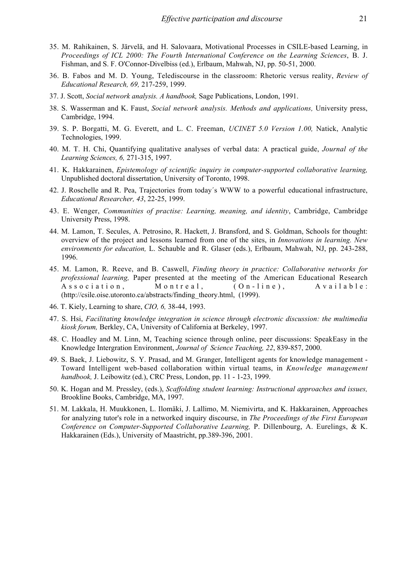- 35. M. Rahikainen, S. Järvelä, and H. Salovaara, Motivational Processes in CSILE-based Learning, in *Proceedings of ICL 2000: The Fourth International Conference on the Learning Sciences*, B. J. Fishman, and S. F. O'Connor-Divelbiss (ed.), Erlbaum, Mahwah, NJ, pp. 50-51, 2000.
- 36. B. Fabos and M. D. Young, Telediscourse in the classroom: Rhetoric versus reality, *Review of Educational Research, 69,* 217-259, 1999.
- 37. J. Scott, *Social network analysis. A handbook,* Sage Publications, London, 1991.
- 38. S. Wasserman and K. Faust, *Social network analysis. Methods and applications,* University press, Cambridge, 1994.
- 39. S. P. Borgatti, M. G. Everett, and L. C. Freeman, *UCINET 5.0 Version 1.00,* Natick, Analytic Technologies, 1999.
- 40. M. T. H. Chi, Quantifying qualitative analyses of verbal data: A practical guide, *Journal of the Learning Sciences, 6,* 271-315, 1997.
- 41. K. Hakkarainen, *Epistemology of scientific inquiry in computer-supported collaborative learning,* Unpublished doctoral dissertation, University of Toronto, 1998.
- 42. J. Roschelle and R. Pea, Trajectories from today´s WWW to a powerful educational infrastructure, *Educational Researcher, 43*, 22-25, 1999.
- 43. E. Wenger, *Communities of practise: Learning, meaning, and identity*, Cambridge, Cambridge University Press, 1998.
- 44. M. Lamon, T. Secules, A. Petrosino, R. Hackett, J. Bransford, and S. Goldman, Schools for thought: overview of the project and lessons learned from one of the sites, in *Innovations in learning. New environments for education,* L. Schauble and R. Glaser (eds.), Erlbaum, Mahwah, NJ, pp. 243-288, 1996.
- 45. M. Lamon, R. Reeve, and B. Caswell, *Finding theory in practice: Collaborative networks for professional learning,* Paper presented at the meeting of the American Educational Research Association, Montreal, (On-line), Available: (http://csile.oise.utoronto.ca/abstracts/finding\_theory.html, (1999).
- 46. T. Kiely, Learning to share, *CIO, 6,* 38-44, 1993.
- 47. S. Hsi, *Facilitating knowledge integration in science through electronic discussion: the multimedia kiosk forum,* Berkley, CA, University of California at Berkeley, 1997.
- 48. C. Hoadley and M. Linn, M, Teaching science through online, peer discussions: SpeakEasy in the Knowledge Intergration Environment, *Journal of Science Teaching, 22*, 839-857, 2000.
- 49. S. Baek, J. Liebowitz, S. Y. Prasad, and M. Granger, Intelligent agents for knowledge management Toward Intelligent web-based collaboration within virtual teams, in *Knowledge management handbook,* J. Leibowitz (ed.), CRC Press, London, pp. 11 - 1-23, 1999.
- 50. K. Hogan and M. Pressley, (eds.), *Scaffolding student learning: Instructional approaches and issues,* Brookline Books, Cambridge, MA, 1997.
- 51. M. Lakkala, H. Muukkonen, L. Ilomäki, J. Lallimo, M. Niemivirta, and K. Hakkarainen, Approaches for analyzing tutor's role in a networked inquiry discourse, in *The Proceedings of the First European Conference on Computer-Supported Collaborative Learning,* P. Dillenbourg, A. Eurelings, & K. Hakkarainen (Eds.), University of Maastricht, pp.389-396, 2001.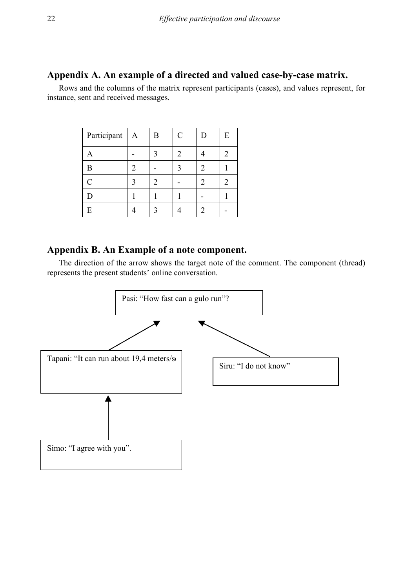# **Appendix A. An example of a directed and valued case-by-case matrix.**

Rows and the columns of the matrix represent participants (cases), and values represent, for instance, sent and received messages.

| Participant | A | Β | C | D | E              |
|-------------|---|---|---|---|----------------|
| А           |   |   | 2 |   | $\mathfrak{D}$ |
| Β           |   |   |   |   |                |
| C           |   |   |   |   | 2              |
| D           |   |   |   |   |                |
| E           |   |   |   |   |                |

# **Appendix B. An Example of a note component.**

The direction of the arrow shows the target note of the comment. The component (thread) represents the present students' online conversation.